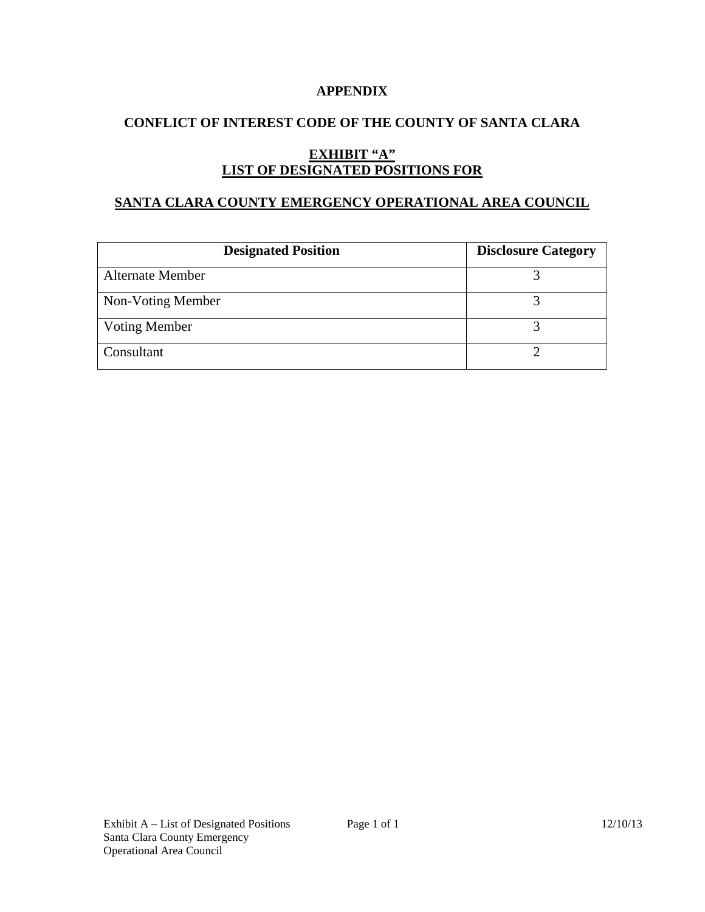#### **APPENDIX**

# **CONFLICT OF INTEREST CODE OF THE COUNTY OF SANTA CLARA**

# **EXHIBIT "A" LIST OF DESIGNATED POSITIONS FOR**

#### **SANTA CLARA COUNTY EMERGENCY OPERATIONAL AREA COUNCIL**

| <b>Designated Position</b> | <b>Disclosure Category</b> |
|----------------------------|----------------------------|
| <b>Alternate Member</b>    |                            |
| Non-Voting Member          |                            |
| <b>Voting Member</b>       |                            |
| Consultant                 |                            |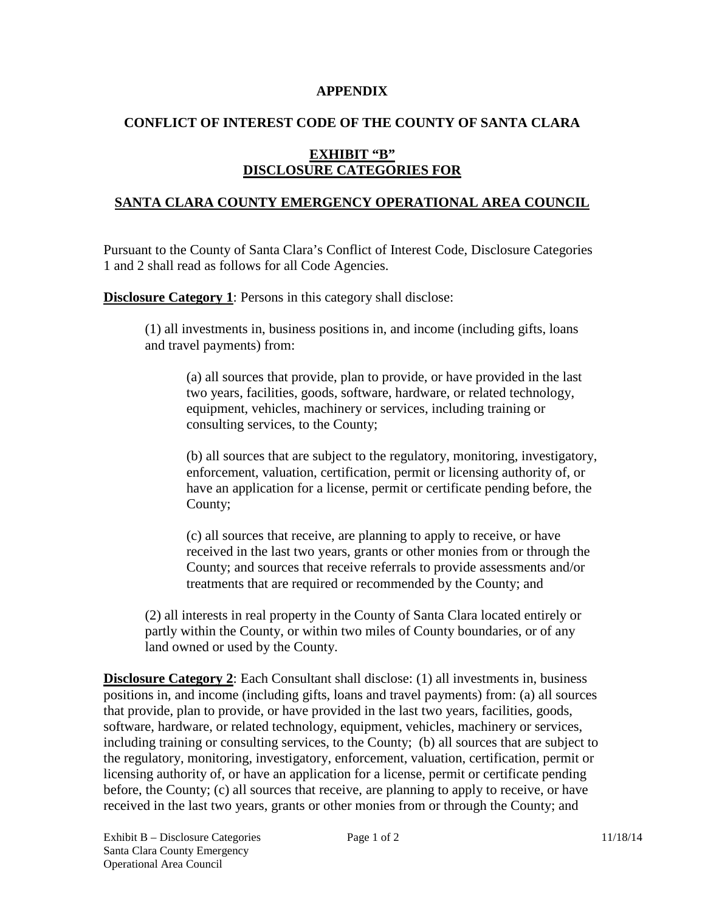#### **APPENDIX**

### **CONFLICT OF INTEREST CODE OF THE COUNTY OF SANTA CLARA**

# **EXHIBIT "B" DISCLOSURE CATEGORIES FOR**

# **SANTA CLARA COUNTY EMERGENCY OPERATIONAL AREA COUNCIL**

Pursuant to the County of Santa Clara's Conflict of Interest Code, Disclosure Categories 1 and 2 shall read as follows for all Code Agencies.

**Disclosure Category 1:** Persons in this category shall disclose:

(1) all investments in, business positions in, and income (including gifts, loans and travel payments) from:

(a) all sources that provide, plan to provide, or have provided in the last two years, facilities, goods, software, hardware, or related technology, equipment, vehicles, machinery or services, including training or consulting services, to the County;

(b) all sources that are subject to the regulatory, monitoring, investigatory, enforcement, valuation, certification, permit or licensing authority of, or have an application for a license, permit or certificate pending before, the County;

(c) all sources that receive, are planning to apply to receive, or have received in the last two years, grants or other monies from or through the County; and sources that receive referrals to provide assessments and/or treatments that are required or recommended by the County; and

(2) all interests in real property in the County of Santa Clara located entirely or partly within the County, or within two miles of County boundaries, or of any land owned or used by the County.

**Disclosure Category 2:** Each Consultant shall disclose: (1) all investments in, business positions in, and income (including gifts, loans and travel payments) from: (a) all sources that provide, plan to provide, or have provided in the last two years, facilities, goods, software, hardware, or related technology, equipment, vehicles, machinery or services, including training or consulting services, to the County; (b) all sources that are subject to the regulatory, monitoring, investigatory, enforcement, valuation, certification, permit or licensing authority of, or have an application for a license, permit or certificate pending before, the County; (c) all sources that receive, are planning to apply to receive, or have received in the last two years, grants or other monies from or through the County; and